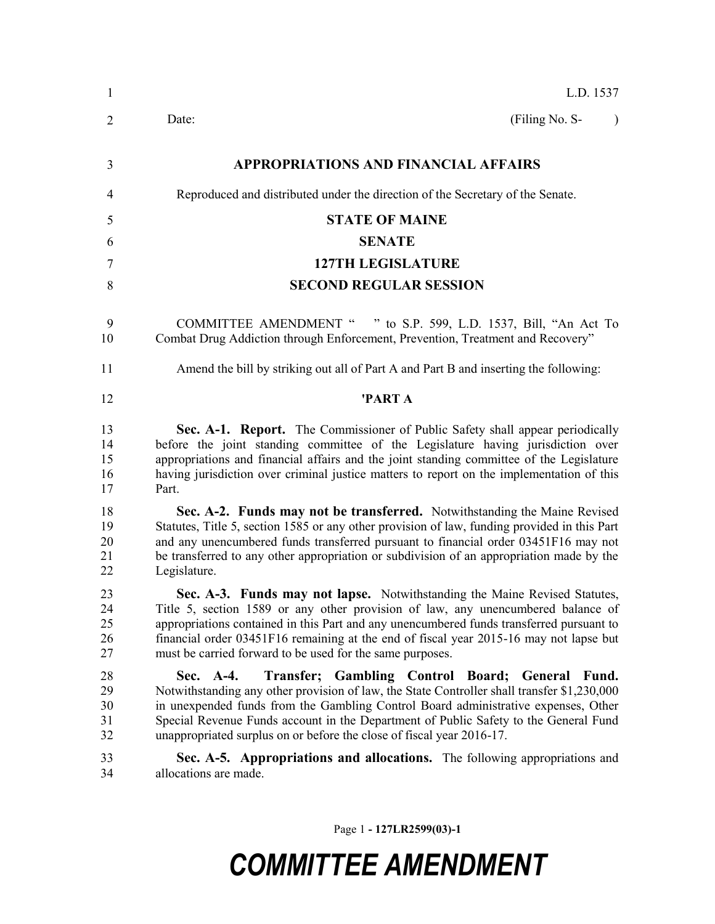| $\mathbf{1}$               | L.D. 1537                                                                                                                                                                                                                                                                                                                                                                                                             |
|----------------------------|-----------------------------------------------------------------------------------------------------------------------------------------------------------------------------------------------------------------------------------------------------------------------------------------------------------------------------------------------------------------------------------------------------------------------|
| 2                          | (Filing No. S-<br>Date:<br>$\lambda$                                                                                                                                                                                                                                                                                                                                                                                  |
| 3                          | <b>APPROPRIATIONS AND FINANCIAL AFFAIRS</b>                                                                                                                                                                                                                                                                                                                                                                           |
| 4                          | Reproduced and distributed under the direction of the Secretary of the Senate.                                                                                                                                                                                                                                                                                                                                        |
| 5                          | <b>STATE OF MAINE</b>                                                                                                                                                                                                                                                                                                                                                                                                 |
| 6                          | <b>SENATE</b>                                                                                                                                                                                                                                                                                                                                                                                                         |
| 7                          | <b>127TH LEGISLATURE</b>                                                                                                                                                                                                                                                                                                                                                                                              |
| 8                          | <b>SECOND REGULAR SESSION</b>                                                                                                                                                                                                                                                                                                                                                                                         |
| 9<br>10                    | COMMITTEE AMENDMENT " " to S.P. 599, L.D. 1537, Bill, "An Act To<br>Combat Drug Addiction through Enforcement, Prevention, Treatment and Recovery"                                                                                                                                                                                                                                                                    |
| 11                         | Amend the bill by striking out all of Part A and Part B and inserting the following:                                                                                                                                                                                                                                                                                                                                  |
| 12                         | 'PART A                                                                                                                                                                                                                                                                                                                                                                                                               |
| 13<br>14<br>15<br>16<br>17 | Sec. A-1. Report. The Commissioner of Public Safety shall appear periodically<br>before the joint standing committee of the Legislature having jurisdiction over<br>appropriations and financial affairs and the joint standing committee of the Legislature<br>having jurisdiction over criminal justice matters to report on the implementation of this<br>Part.                                                    |
| 18<br>19<br>20<br>21<br>22 | Sec. A-2. Funds may not be transferred. Notwithstanding the Maine Revised<br>Statutes, Title 5, section 1585 or any other provision of law, funding provided in this Part<br>and any unencumbered funds transferred pursuant to financial order 03451F16 may not<br>be transferred to any other appropriation or subdivision of an appropriation made by the<br>Legislature.                                          |
| 23<br>24<br>25<br>26<br>27 | Sec. A-3. Funds may not lapse. Notwithstanding the Maine Revised Statutes,<br>Title 5, section 1589 or any other provision of law, any unencumbered balance of<br>appropriations contained in this Part and any unencumbered funds transferred pursuant to<br>financial order 03451F16 remaining at the end of fiscal year 2015-16 may not lapse but<br>must be carried forward to be used for the same purposes.     |
| 28<br>29<br>30<br>31<br>32 | Sec. A-4.<br>Transfer; Gambling Control Board; General<br>Fund.<br>Notwithstanding any other provision of law, the State Controller shall transfer \$1,230,000<br>in unexpended funds from the Gambling Control Board administrative expenses, Other<br>Special Revenue Funds account in the Department of Public Safety to the General Fund<br>unappropriated surplus on or before the close of fiscal year 2016-17. |
| 33<br>34                   | Sec. A-5. Appropriations and allocations. The following appropriations and<br>allocations are made.                                                                                                                                                                                                                                                                                                                   |

Page 1 **- 127LR2599(03)-1**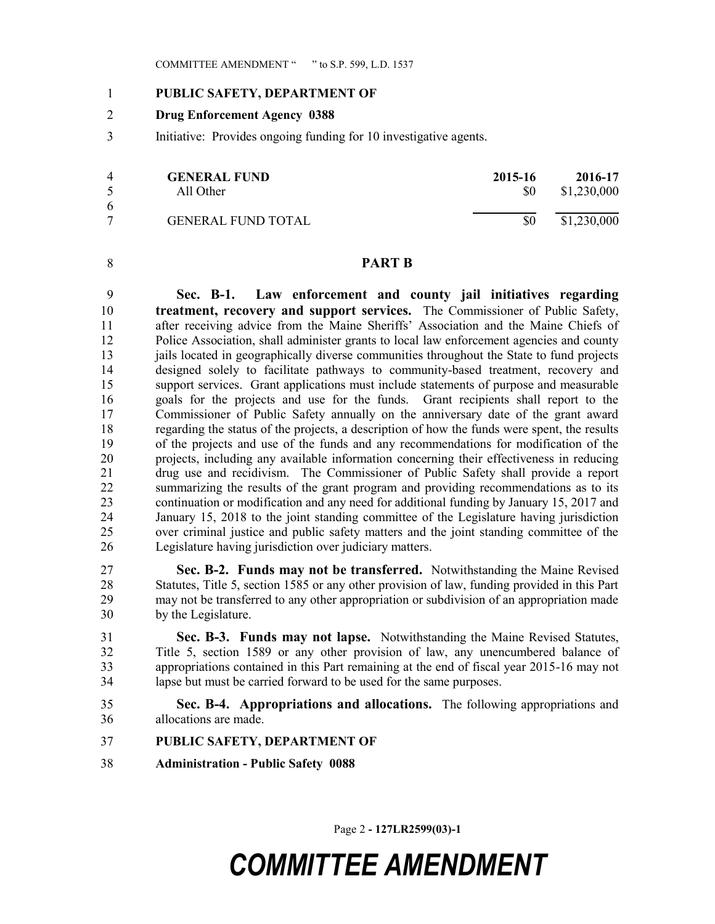COMMITTEE AMENDMENT " " to S.P. 599, L.D. 1537

### **PUBLIC SAFETY, DEPARTMENT OF**

### **Drug Enforcement Agency 0388**

Initiative: Provides ongoing funding for 10 investigative agents.

| 4      | <b>GENERAL FUND</b>       | 2015-16 | 2016-17     |
|--------|---------------------------|---------|-------------|
| $\sim$ | All Other                 | SO.     | \$1,230,000 |
| -6     | <b>GENERAL FUND TOTAL</b> | SO.     | \$1,230,000 |

### **PART B**

 **Sec. B-1. Law enforcement and county jail initiatives regarding treatment, recovery and support services.** The Commissioner of Public Safety, after receiving advice from the Maine Sheriffs' Association and the Maine Chiefs of Police Association, shall administer grants to local law enforcement agencies and county 13 jails located in geographically diverse communities throughout the State to fund projects designed solely to facilitate pathways to community-based treatment, recovery and support services. Grant applications must include statements of purpose and measurable goals for the projects and use for the funds. Grant recipients shall report to the Commissioner of Public Safety annually on the anniversary date of the grant award regarding the status of the projects, a description of how the funds were spent, the results of the projects and use of the funds and any recommendations for modification of the projects, including any available information concerning their effectiveness in reducing drug use and recidivism. The Commissioner of Public Safety shall provide a report summarizing the results of the grant program and providing recommendations as to its continuation or modification and any need for additional funding by January 15, 2017 and January 15, 2018 to the joint standing committee of the Legislature having jurisdiction over criminal justice and public safety matters and the joint standing committee of the Legislature having jurisdiction over judiciary matters.

 **Sec. B-2. Funds may not be transferred.** Notwithstanding the Maine Revised Statutes, Title 5, section 1585 or any other provision of law, funding provided in this Part may not be transferred to any other appropriation or subdivision of an appropriation made by the Legislature.

 **Sec. B-3. Funds may not lapse.** Notwithstanding the Maine Revised Statutes, Title 5, section 1589 or any other provision of law, any unencumbered balance of appropriations contained in this Part remaining at the end of fiscal year 2015-16 may not lapse but must be carried forward to be used for the same purposes.

- **Sec. B-4. Appropriations and allocations.** The following appropriations and allocations are made.
- **PUBLIC SAFETY, DEPARTMENT OF**
- **Administration - Public Safety 0088**

Page 2 **- 127LR2599(03)-1**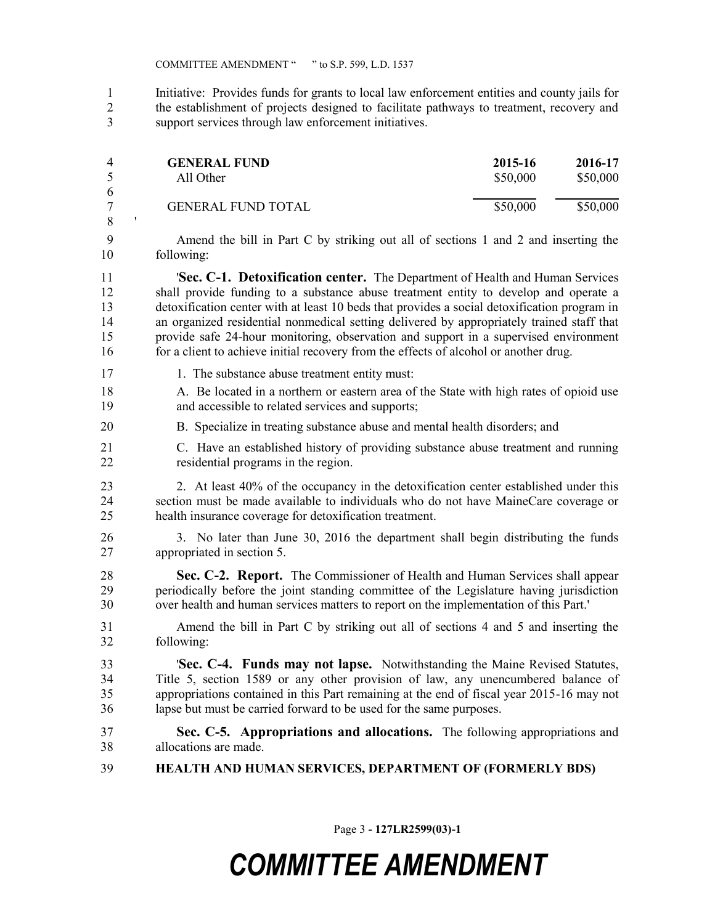COMMITTEE AMENDMENT " " to S.P. 599, L.D. 1537

 Initiative: Provides funds for grants to local law enforcement entities and county jails for the establishment of projects designed to facilitate pathways to treatment, recovery and support services through law enforcement initiatives.

|   | <b>GENERAL FUND</b>       | 2015-16  | 2016-17  |
|---|---------------------------|----------|----------|
|   | All Other                 | \$50,000 | \$50,000 |
| 6 |                           |          |          |
|   | <b>GENERAL FUND TOTAL</b> | \$50,000 | \$50,000 |
|   |                           |          |          |

 Amend the bill in Part C by striking out all of sections 1 and 2 and inserting the following:

 '**Sec. C-1. Detoxification center.** The Department of Health and Human Services shall provide funding to a substance abuse treatment entity to develop and operate a detoxification center with at least 10 beds that provides a social detoxification program in an organized residential nonmedical setting delivered by appropriately trained staff that provide safe 24-hour monitoring, observation and support in a supervised environment 16 for a client to achieve initial recovery from the effects of alcohol or another drug.

- 17 1. The substance abuse treatment entity must:
- 18 A. Be located in a northern or eastern area of the State with high rates of opioid use and accessible to related services and supports;
- B. Specialize in treating substance abuse and mental health disorders; and
- C. Have an established history of providing substance abuse treatment and running residential programs in the region.

 2. At least 40% of the occupancy in the detoxification center established under this section must be made available to individuals who do not have MaineCare coverage or health insurance coverage for detoxification treatment.

 3. No later than June 30, 2016 the department shall begin distributing the funds appropriated in section 5.

 **Sec. C-2. Report.** The Commissioner of Health and Human Services shall appear periodically before the joint standing committee of the Legislature having jurisdiction over health and human services matters to report on the implementation of this Part.'

 Amend the bill in Part C by striking out all of sections 4 and 5 and inserting the following:

 '**Sec. C-4. Funds may not lapse.** Notwithstanding the Maine Revised Statutes, Title 5, section 1589 or any other provision of law, any unencumbered balance of appropriations contained in this Part remaining at the end of fiscal year 2015-16 may not lapse but must be carried forward to be used for the same purposes.

 **Sec. C-5. Appropriations and allocations.** The following appropriations and allocations are made.

**HEALTH AND HUMAN SERVICES, DEPARTMENT OF (FORMERLY BDS)**

Page 3 **- 127LR2599(03)-1**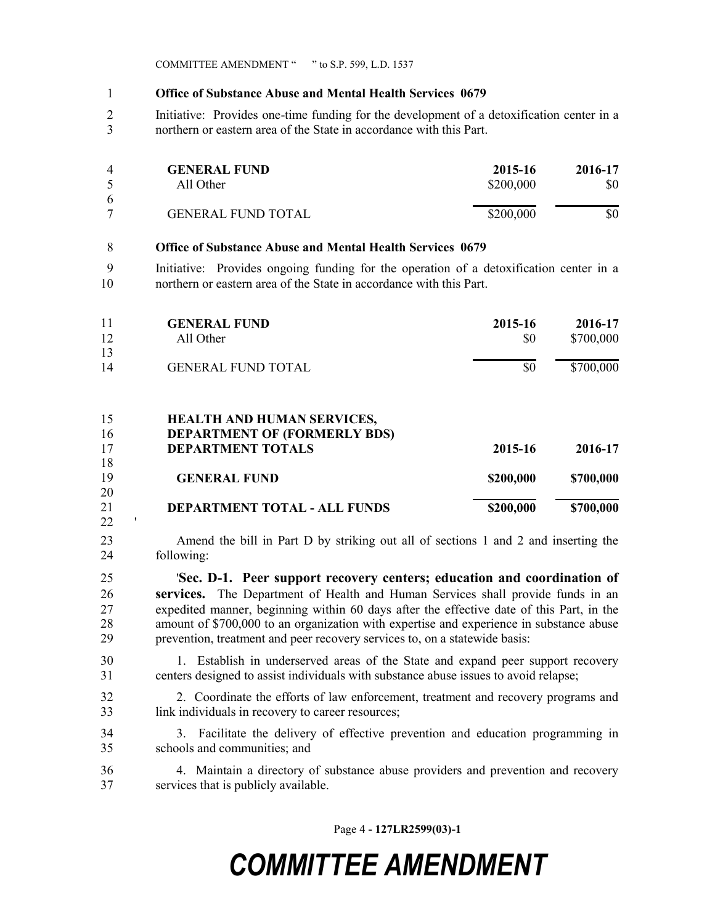#### **Office of Substance Abuse and Mental Health Services 0679**

 Initiative: Provides one-time funding for the development of a detoxification center in a northern or eastern area of the State in accordance with this Part.

| $\overline{4}$ | <b>GENERAL FUND</b>       | 2015-16   | 2016-17 |
|----------------|---------------------------|-----------|---------|
|                | All Other                 | \$200,000 | \$0     |
| 6              |                           |           |         |
|                | <b>GENERAL FUND TOTAL</b> | \$200,000 | \$0     |

#### **Office of Substance Abuse and Mental Health Services 0679**

 Initiative: Provides ongoing funding for the operation of a detoxification center in a northern or eastern area of the State in accordance with this Part.

| 11 | <b>GENERAL FUND</b>                 | 2015-16   | 2016-17   |
|----|-------------------------------------|-----------|-----------|
| 12 | All Other                           | \$0       | \$700,000 |
| 13 |                                     |           |           |
| 14 | <b>GENERAL FUND TOTAL</b>           | \$0       | \$700,000 |
| 15 | <b>HEALTH AND HUMAN SERVICES,</b>   |           |           |
| 16 | <b>DEPARTMENT OF (FORMERLY BDS)</b> |           |           |
| 17 | <b>DEPARTMENT TOTALS</b>            | 2015-16   | 2016-17   |
| 18 |                                     |           |           |
| 19 | <b>GENERAL FUND</b>                 | \$200,000 | \$700,000 |
| 20 |                                     |           |           |
| 21 | DEPARTMENT TOTAL - ALL FUNDS        | \$200,000 | \$700,000 |
|    |                                     |           |           |

'

 Amend the bill in Part D by striking out all of sections 1 and 2 and inserting the following:

 '**Sec. D-1. Peer support recovery centers; education and coordination of services.** The Department of Health and Human Services shall provide funds in an expedited manner, beginning within 60 days after the effective date of this Part, in the amount of \$700,000 to an organization with expertise and experience in substance abuse prevention, treatment and peer recovery services to, on a statewide basis:

- 1. Establish in underserved areas of the State and expand peer support recovery centers designed to assist individuals with substance abuse issues to avoid relapse;
- 2. Coordinate the efforts of law enforcement, treatment and recovery programs and link individuals in recovery to career resources;
- 3. Facilitate the delivery of effective prevention and education programming in schools and communities; and
- 4. Maintain a directory of substance abuse providers and prevention and recovery services that is publicly available.

Page 4 **- 127LR2599(03)-1**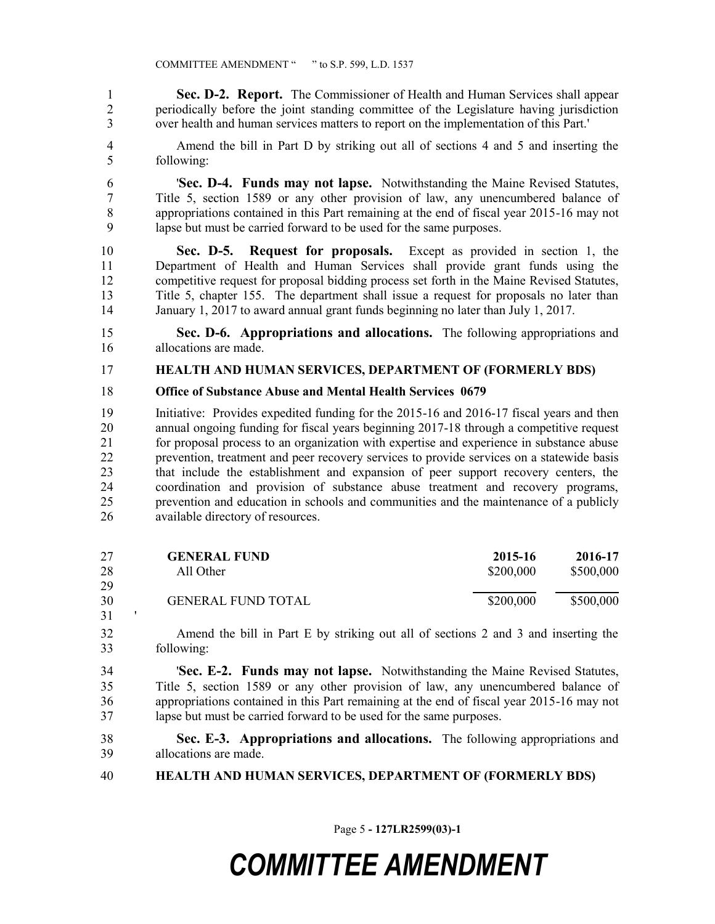**Sec. D-2. Report.** The Commissioner of Health and Human Services shall appear periodically before the joint standing committee of the Legislature having jurisdiction over health and human services matters to report on the implementation of this Part.'

 Amend the bill in Part D by striking out all of sections 4 and 5 and inserting the following:

 '**Sec. D-4. Funds may not lapse.** Notwithstanding the Maine Revised Statutes, Title 5, section 1589 or any other provision of law, any unencumbered balance of appropriations contained in this Part remaining at the end of fiscal year 2015-16 may not lapse but must be carried forward to be used for the same purposes.

 **Sec. D-5. Request for proposals.** Except as provided in section 1, the Department of Health and Human Services shall provide grant funds using the competitive request for proposal bidding process set forth in the Maine Revised Statutes, Title 5, chapter 155. The department shall issue a request for proposals no later than January 1, 2017 to award annual grant funds beginning no later than July 1, 2017.

 **Sec. D-6. Appropriations and allocations.** The following appropriations and allocations are made.

#### **HEALTH AND HUMAN SERVICES, DEPARTMENT OF (FORMERLY BDS)**

#### **Office of Substance Abuse and Mental Health Services 0679**

 Initiative: Provides expedited funding for the 2015-16 and 2016-17 fiscal years and then annual ongoing funding for fiscal years beginning 2017-18 through a competitive request for proposal process to an organization with expertise and experience in substance abuse prevention, treatment and peer recovery services to provide services on a statewide basis that include the establishment and expansion of peer support recovery centers, the coordination and provision of substance abuse treatment and recovery programs, prevention and education in schools and communities and the maintenance of a publicly available directory of resources.

| 27 | <b>GENERAL FUND</b>       | 2015-16   | 2016-17   |
|----|---------------------------|-----------|-----------|
| 28 | All Other                 | \$200,000 | \$500,000 |
| 29 |                           |           |           |
| 30 | <b>GENERAL FUND TOTAL</b> | \$200,000 | \$500,000 |
| 31 |                           |           |           |

 Amend the bill in Part E by striking out all of sections 2 and 3 and inserting the following:

 '**Sec. E-2. Funds may not lapse.** Notwithstanding the Maine Revised Statutes, Title 5, section 1589 or any other provision of law, any unencumbered balance of appropriations contained in this Part remaining at the end of fiscal year 2015-16 may not lapse but must be carried forward to be used for the same purposes.

 **Sec. E-3. Appropriations and allocations.** The following appropriations and allocations are made.

### **HEALTH AND HUMAN SERVICES, DEPARTMENT OF (FORMERLY BDS)**

Page 5 **- 127LR2599(03)-1**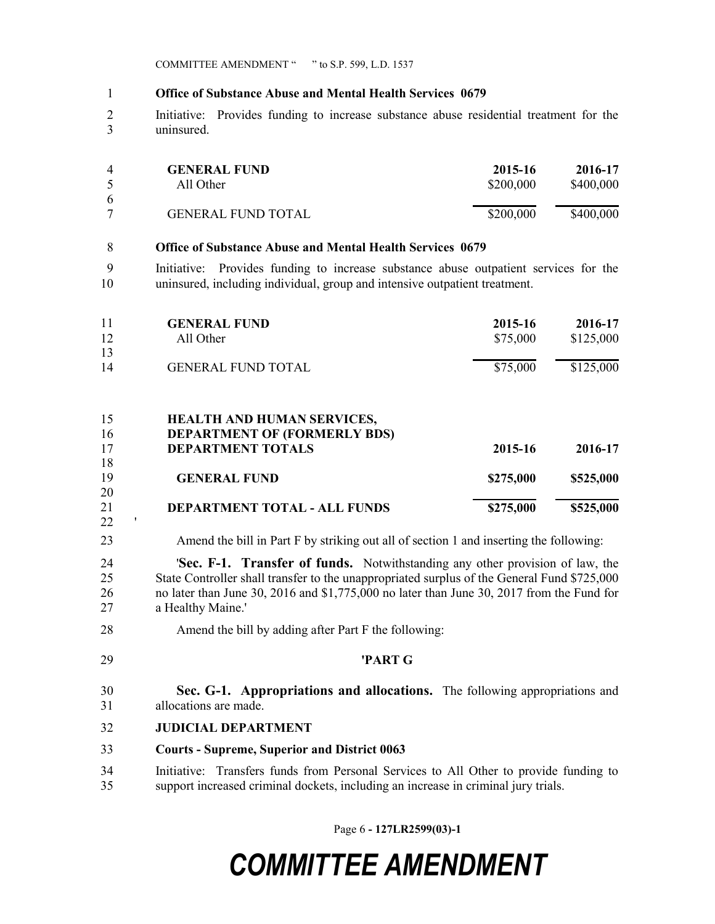COMMITTEE AMENDMENT " " to S.P. 599, L.D. 1537

#### **Office of Substance Abuse and Mental Health Services 0679**

 Initiative: Provides funding to increase substance abuse residential treatment for the uninsured.

| $\overline{4}$ | <b>GENERAL FUND</b>       | 2015-16   | 2016-17   |
|----------------|---------------------------|-----------|-----------|
|                | All Other                 | \$200,000 | \$400,000 |
| -6             |                           |           |           |
|                | <b>GENERAL FUND TOTAL</b> | \$200,000 | \$400,000 |

#### **Office of Substance Abuse and Mental Health Services 0679**

 Initiative: Provides funding to increase substance abuse outpatient services for the uninsured, including individual, group and intensive outpatient treatment.

| 11 | <b>GENERAL FUND</b>                 | 2015-16   | 2016-17   |
|----|-------------------------------------|-----------|-----------|
| 12 | All Other                           | \$75,000  | \$125,000 |
| 13 |                                     |           |           |
| 14 | <b>GENERAL FUND TOTAL</b>           | \$75,000  | \$125,000 |
| 15 | <b>HEALTH AND HUMAN SERVICES,</b>   |           |           |
| 16 | <b>DEPARTMENT OF (FORMERLY BDS)</b> |           |           |
| 17 | <b>DEPARTMENT TOTALS</b>            | 2015-16   | 2016-17   |
| 18 |                                     |           |           |
| 19 | <b>GENERAL FUND</b>                 | \$275,000 | \$525,000 |
| 20 |                                     |           |           |
| 21 | DEPARTMENT TOTAL - ALL FUNDS        | \$275,000 | \$525,000 |

- '
- Amend the bill in Part F by striking out all of section 1 and inserting the following:

 '**Sec. F-1. Transfer of funds.** Notwithstanding any other provision of law, the State Controller shall transfer to the unappropriated surplus of the General Fund \$725,000 no later than June 30, 2016 and \$1,775,000 no later than June 30, 2017 from the Fund for a Healthy Maine.'

- Amend the bill by adding after Part F the following:
- **'PART G**
- **Sec. G-1. Appropriations and allocations.** The following appropriations and allocations are made.
- **JUDICIAL DEPARTMENT**
- **Courts - Supreme, Superior and District 0063**
- Initiative: Transfers funds from Personal Services to All Other to provide funding to support increased criminal dockets, including an increase in criminal jury trials.

Page 6 **- 127LR2599(03)-1**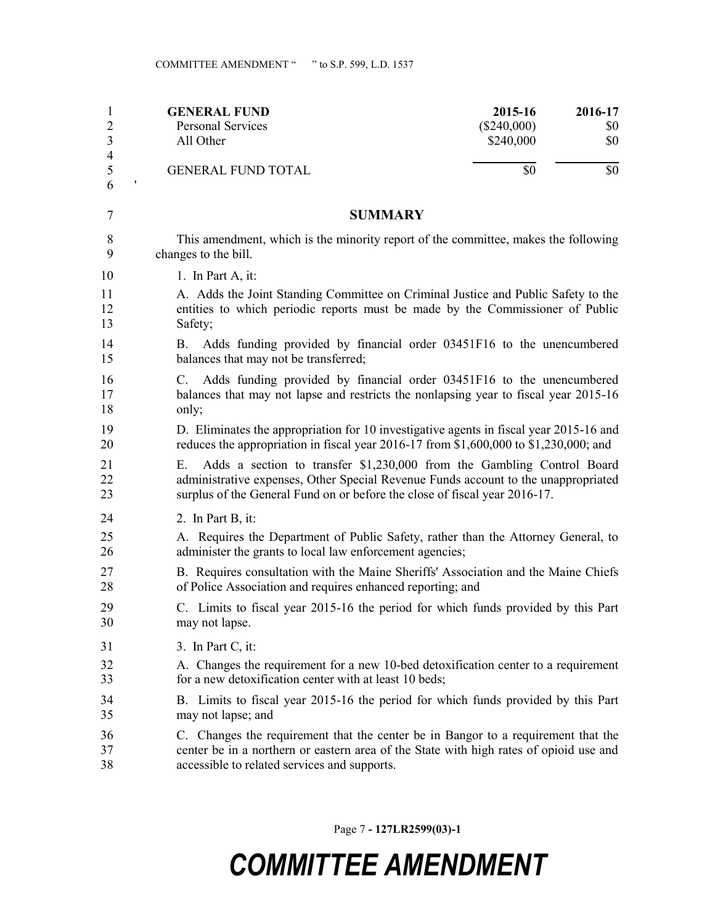| 1<br>2<br>3<br>$\overline{4}$ | <b>GENERAL FUND</b><br>Personal Services<br>All Other                                                                                                                                                                                            | 2015-16<br>$(\$240,000)$<br>\$240,000 | 2016-17<br>\$0<br>\$0 |
|-------------------------------|--------------------------------------------------------------------------------------------------------------------------------------------------------------------------------------------------------------------------------------------------|---------------------------------------|-----------------------|
| 5<br>6                        | <b>GENERAL FUND TOTAL</b>                                                                                                                                                                                                                        | \$0                                   | \$0                   |
| 7                             | <b>SUMMARY</b>                                                                                                                                                                                                                                   |                                       |                       |
| 8<br>9                        | This amendment, which is the minority report of the committee, makes the following<br>changes to the bill.                                                                                                                                       |                                       |                       |
| 10                            | 1. In Part A, it:                                                                                                                                                                                                                                |                                       |                       |
| 11<br>12<br>13                | A. Adds the Joint Standing Committee on Criminal Justice and Public Safety to the<br>entities to which periodic reports must be made by the Commissioner of Public<br>Safety;                                                                    |                                       |                       |
| 14<br>15                      | Adds funding provided by financial order 03451F16 to the unencumbered<br>В.<br>balances that may not be transferred;                                                                                                                             |                                       |                       |
| 16<br>17<br>18                | Adds funding provided by financial order 03451F16 to the unencumbered<br>C.<br>balances that may not lapse and restricts the nonlapsing year to fiscal year 2015-16<br>only;                                                                     |                                       |                       |
| 19<br>20                      | D. Eliminates the appropriation for 10 investigative agents in fiscal year 2015-16 and<br>reduces the appropriation in fiscal year 2016-17 from \$1,600,000 to \$1,230,000; and                                                                  |                                       |                       |
| 21<br>22<br>23                | Adds a section to transfer \$1,230,000 from the Gambling Control Board<br>Е.<br>administrative expenses, Other Special Revenue Funds account to the unappropriated<br>surplus of the General Fund on or before the close of fiscal year 2016-17. |                                       |                       |
| 24                            | 2. In Part B, it:                                                                                                                                                                                                                                |                                       |                       |
| 25<br>26                      | A. Requires the Department of Public Safety, rather than the Attorney General, to<br>administer the grants to local law enforcement agencies;                                                                                                    |                                       |                       |
| 27<br>28                      | B. Requires consultation with the Maine Sheriffs' Association and the Maine Chiefs<br>of Police Association and requires enhanced reporting; and                                                                                                 |                                       |                       |
| 29<br>30                      | C. Limits to fiscal year 2015-16 the period for which funds provided by this Part<br>may not lapse.                                                                                                                                              |                                       |                       |
| 31                            | 3. In Part $C$ , it:                                                                                                                                                                                                                             |                                       |                       |
| 32<br>33                      | A. Changes the requirement for a new 10-bed detoxification center to a requirement<br>for a new detoxification center with at least 10 beds;                                                                                                     |                                       |                       |
| 34<br>35                      | B. Limits to fiscal year 2015-16 the period for which funds provided by this Part<br>may not lapse; and                                                                                                                                          |                                       |                       |
| 36<br>37<br>38                | C. Changes the requirement that the center be in Bangor to a requirement that the<br>center be in a northern or eastern area of the State with high rates of opioid use and<br>accessible to related services and supports.                      |                                       |                       |

Page 7 **- 127LR2599(03)-1**